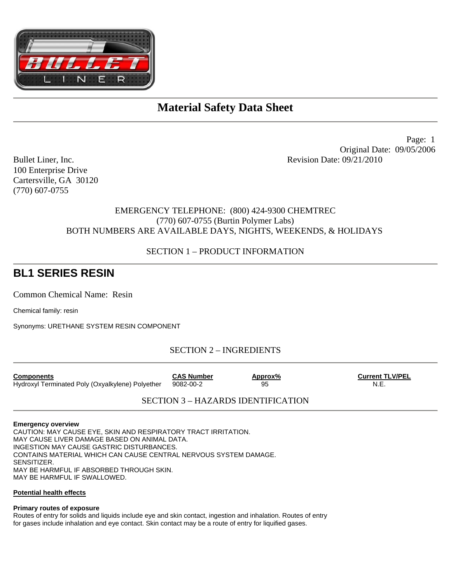

# **Material Safety Data Sheet**

100 Enterprise Drive Cartersville, GA 30120 (770) 607-0755

 Page: 1 Original Date: 09/05/2006 Bullet Liner, Inc. **Revision Date: 09/21/2010** 

# EMERGENCY TELEPHONE: (800) 424-9300 CHEMTREC (770) 607-0755 (Burtin Polymer Labs) BOTH NUMBERS ARE AVAILABLE DAYS, NIGHTS, WEEKENDS, & HOLIDAYS

### SECTION 1 – PRODUCT INFORMATION

# **BL1 SERIES RESIN**

Common Chemical Name: Resin

Chemical family: resin

Synonyms: URETHANE SYSTEM RESIN COMPONENT

# SECTION 2 – INGREDIENTS

| <b>Components</b>                                | <b>CAS Number</b> | Approx% | <b>Current TLV/PEL</b> |
|--------------------------------------------------|-------------------|---------|------------------------|
| Hydroxyl Terminated Poly (Oxyalkylene) Polyether | 9082-00-2         | 95      | N.E.                   |

# SECTION 3 – HAZARDS IDENTIFICATION

#### **Emergency overview**

CAUTION: MAY CAUSE EYE, SKIN AND RESPIRATORY TRACT IRRITATION. MAY CAUSE LIVER DAMAGE BASED ON ANIMAL DATA. INGESTION MAY CAUSE GASTRIC DISTURBANCES. CONTAINS MATERIAL WHICH CAN CAUSE CENTRAL NERVOUS SYSTEM DAMAGE. SENSITIZER. MAY BE HARMFUL IF ABSORBED THROUGH SKIN. MAY BE HARMFUL IF SWALLOWED.

#### **Potential health effects**

#### **Primary routes of exposure**

Routes of entry for solids and liquids include eye and skin contact, ingestion and inhalation. Routes of entry for gases include inhalation and eye contact. Skin contact may be a route of entry for liquified gases.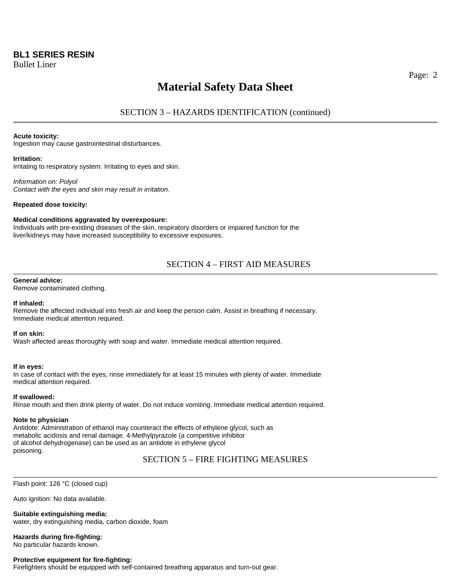# **BL1 SERIES RESIN**

Bullet Liner

# **Material Safety Data Sheet**

SECTION 3 – HAZARDS IDENTIFICATION (continued)

#### **Acute toxicity:**

Ingestion may cause gastrointestinal disturbances.

#### **Irritation:**

Irritating to respiratory system. Irritating to eyes and skin.

*Information on: Polyol Contact with the eyes and skin may result in irritation.* 

#### **Repeated dose toxicity:**

#### **Medical conditions aggravated by overexposure:**

Individuals with pre-existing diseases of the skin, respiratory disorders or impaired function for the liver/kidneys may have increased susceptibility to excessive exposures.

### SECTION 4 – FIRST AID MEASURES

#### **General advice:**

Remove contaminated clothing.

#### **If inhaled:**

Remove the affected individual into fresh air and keep the person calm. Assist in breathing if necessary. Immediate medical attention required.

#### **If on skin:**

Wash affected areas thoroughly with soap and water. Immediate medical attention required.

#### **If in eyes:**

In case of contact with the eyes, rinse immediately for at least 15 minutes with plenty of water. Immediate medical attention required.

#### **If swallowed:**

Rinse mouth and then drink plenty of water. Do not induce vomiting. Immediate medical attention required.

#### **Note to physician**

Antidote: Administration of ethanol may counteract the effects of ethylene glycol, such as metabolic acidosis and renal damage. 4-Methylpyrazole (a competitive inhibitor of alcohol dehydrogenase) can be used as an antidote in ethylene glycol poisoning.

### SECTION 5 – FIRE FIGHTING MEASURES

Flash point: 126 °C (closed cup)

Auto ignition: No data available.

**Suitable extinguishing media:** 

water, dry extinguishing media, carbon dioxide, foam

### **Hazards during fire-fighting:**

No particular hazards known.

#### **Protective equipment for fire-fighting:**

Firefighters should be equipped with self-contained breathing apparatus and turn-out gear.

Page: 2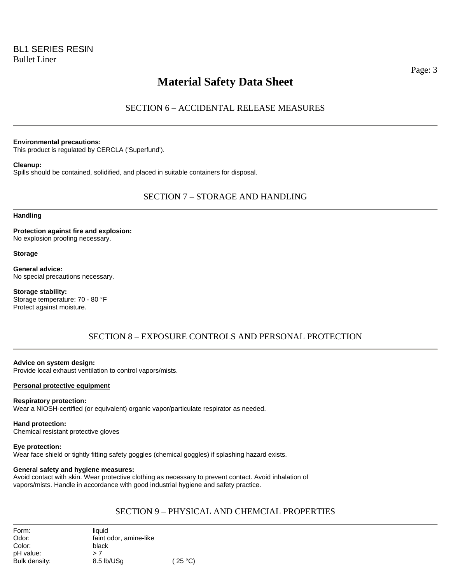# **Material Safety Data Sheet**

# SECTION 6 – ACCIDENTAL RELEASE MEASURES

#### **Environmental precautions:**

This product is regulated by CERCLA ('Superfund').

#### **Cleanup:**

Spills should be contained, solidified, and placed in suitable containers for disposal.

### SECTION 7 – STORAGE AND HANDLING

### **Handling**

**Protection against fire and explosion:**  No explosion proofing necessary.

#### **Storage**

**General advice:**  No special precautions necessary.

**Storage stability:**  Storage temperature: 70 - 80 °F Protect against moisture.

### SECTION 8 – EXPOSURE CONTROLS AND PERSONAL PROTECTION

## **Advice on system design:**

Provide local exhaust ventilation to control vapors/mists.

#### **Personal protective equipment**

#### **Respiratory protection:**

Wear a NIOSH-certified (or equivalent) organic vapor/particulate respirator as needed.

**Hand protection:**  Chemical resistant protective gloves

#### **Eye protection:**

Wear face shield or tightly fitting safety goggles (chemical goggles) if splashing hazard exists.

#### **General safety and hygiene measures:**

Avoid contact with skin. Wear protective clothing as necessary to prevent contact. Avoid inhalation of vapors/mists. Handle in accordance with good industrial hygiene and safety practice.

### SECTION 9 – PHYSICAL AND CHEMCIAL PROPERTIES

| Form:<br>Odor: | liauid<br>faint odor, amine-like |         |
|----------------|----------------------------------|---------|
| Color:         | black                            |         |
| pH value:      | >7                               |         |
| Bulk density:  | 8.5 lb/USa                       | (25 °C) |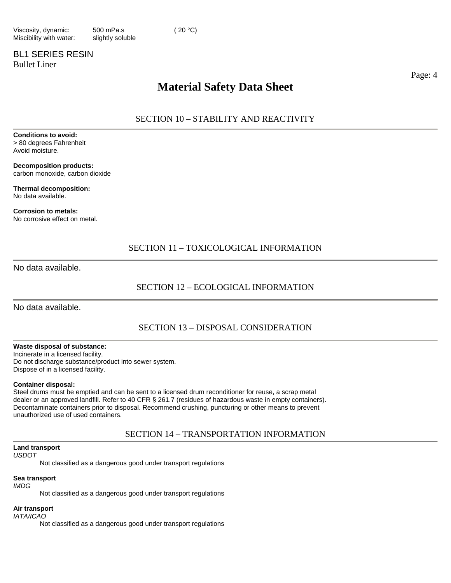# BL1 SERIES RESIN Bullet Liner

Page: 4

# **Material Safety Data Sheet**

SECTION 10 – STABILITY AND REACTIVITY

**Conditions to avoid:**  > 80 degrees Fahrenheit Avoid moisture.

**Decomposition products:**  carbon monoxide, carbon dioxide

**Thermal decomposition:**  No data available.

**Corrosion to metals:**  No corrosive effect on metal.

## SECTION 11 – TOXICOLOGICAL INFORMATION

No data available.

## SECTION 12 – ECOLOGICAL INFORMATION

No data available.

# SECTION 13 – DISPOSAL CONSIDERATION

#### **Waste disposal of substance:**

Incinerate in a licensed facility. Do not discharge substance/product into sewer system. Dispose of in a licensed facility.

#### **Container disposal:**

Steel drums must be emptied and can be sent to a licensed drum reconditioner for reuse, a scrap metal dealer or an approved landfill. Refer to 40 CFR § 261.7 (residues of hazardous waste in empty containers). Decontaminate containers prior to disposal. Recommend crushing, puncturing or other means to prevent unauthorized use of used containers.

### SECTION 14 – TRANSPORTATION INFORMATION

## **Land transport**

*USDOT* 

Not classified as a dangerous good under transport regulations

#### **Sea transport**

#### *IMDG*

Not classified as a dangerous good under transport regulations

#### **Air transport**

*IATA/ICAO* 

Not classified as a dangerous good under transport regulations